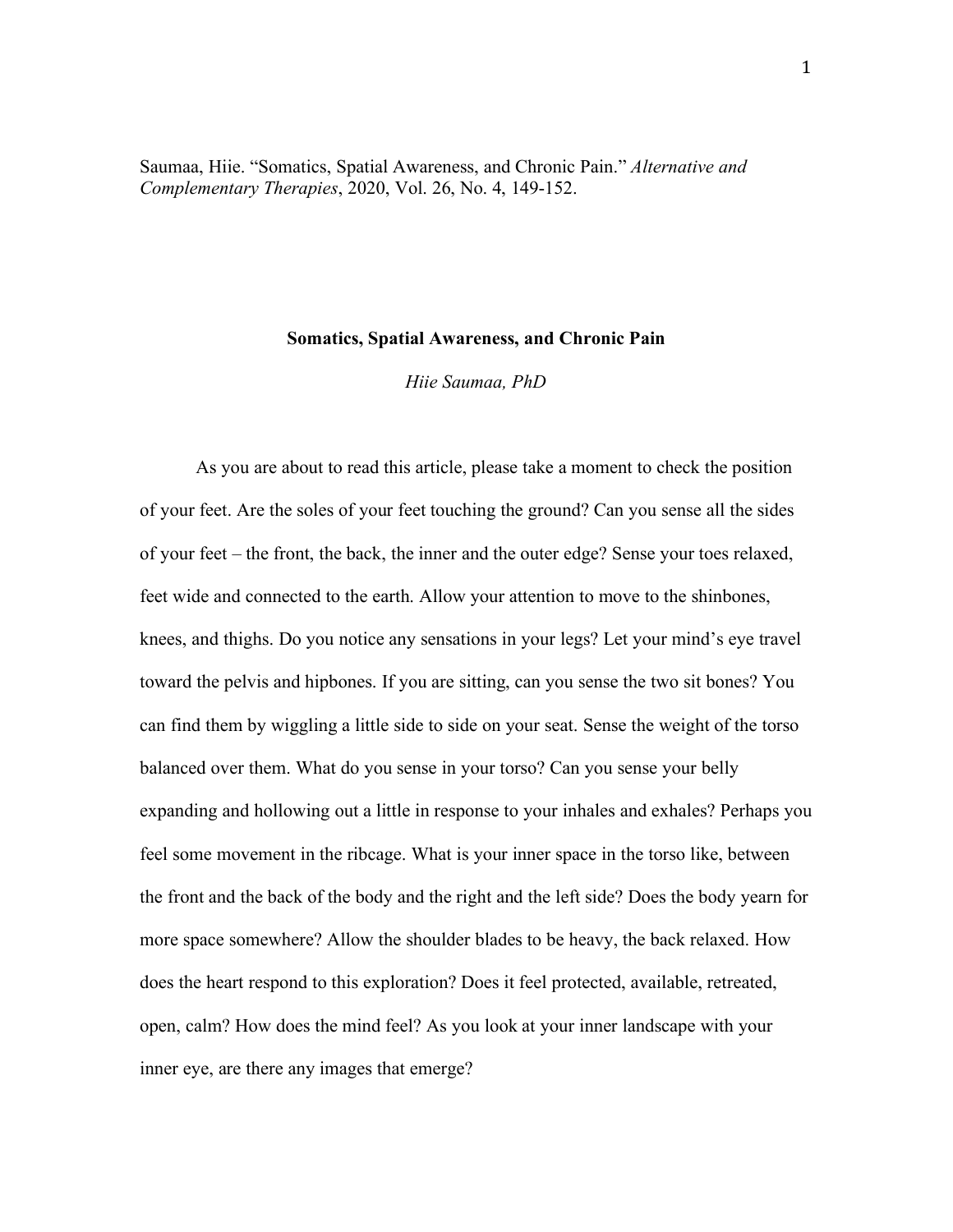Saumaa, Hiie. "Somatics, Spatial Awareness, and Chronic Pain." *Alternative and Complementary Therapies*, 2020, Vol. 26, No. 4, 149-152.

### **Somatics, Spatial Awareness, and Chronic Pain**

*Hiie Saumaa, PhD* 

As you are about to read this article, please take a moment to check the position of your feet. Are the soles of your feet touching the ground? Can you sense all the sides of your feet – the front, the back, the inner and the outer edge? Sense your toes relaxed, feet wide and connected to the earth. Allow your attention to move to the shinbones, knees, and thighs. Do you notice any sensations in your legs? Let your mind's eye travel toward the pelvis and hipbones. If you are sitting, can you sense the two sit bones? You can find them by wiggling a little side to side on your seat. Sense the weight of the torso balanced over them. What do you sense in your torso? Can you sense your belly expanding and hollowing out a little in response to your inhales and exhales? Perhaps you feel some movement in the ribcage. What is your inner space in the torso like, between the front and the back of the body and the right and the left side? Does the body yearn for more space somewhere? Allow the shoulder blades to be heavy, the back relaxed. How does the heart respond to this exploration? Does it feel protected, available, retreated, open, calm? How does the mind feel? As you look at your inner landscape with your inner eye, are there any images that emerge?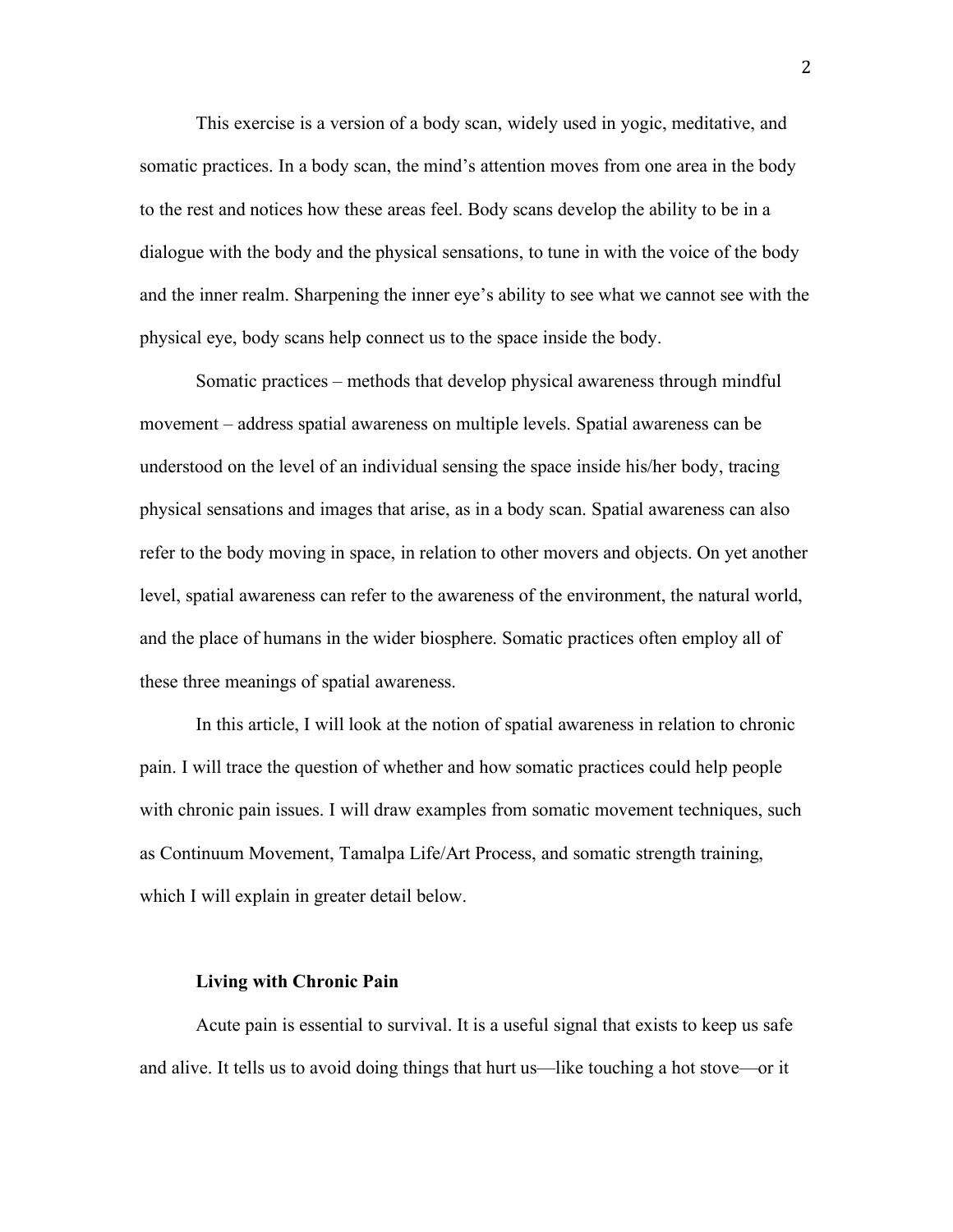This exercise is a version of a body scan, widely used in yogic, meditative, and somatic practices. In a body scan, the mind's attention moves from one area in the body to the rest and notices how these areas feel. Body scans develop the ability to be in a dialogue with the body and the physical sensations, to tune in with the voice of the body and the inner realm. Sharpening the inner eye's ability to see what we cannot see with the physical eye, body scans help connect us to the space inside the body.

Somatic practices – methods that develop physical awareness through mindful movement – address spatial awareness on multiple levels. Spatial awareness can be understood on the level of an individual sensing the space inside his/her body, tracing physical sensations and images that arise, as in a body scan. Spatial awareness can also refer to the body moving in space, in relation to other movers and objects. On yet another level, spatial awareness can refer to the awareness of the environment, the natural world, and the place of humans in the wider biosphere. Somatic practices often employ all of these three meanings of spatial awareness.

In this article, I will look at the notion of spatial awareness in relation to chronic pain. I will trace the question of whether and how somatic practices could help people with chronic pain issues. I will draw examples from somatic movement techniques, such as Continuum Movement, Tamalpa Life/Art Process, and somatic strength training, which I will explain in greater detail below.

#### **Living with Chronic Pain**

Acute pain is essential to survival. It is a useful signal that exists to keep us safe and alive. It tells us to avoid doing things that hurt us—like touching a hot stove—or it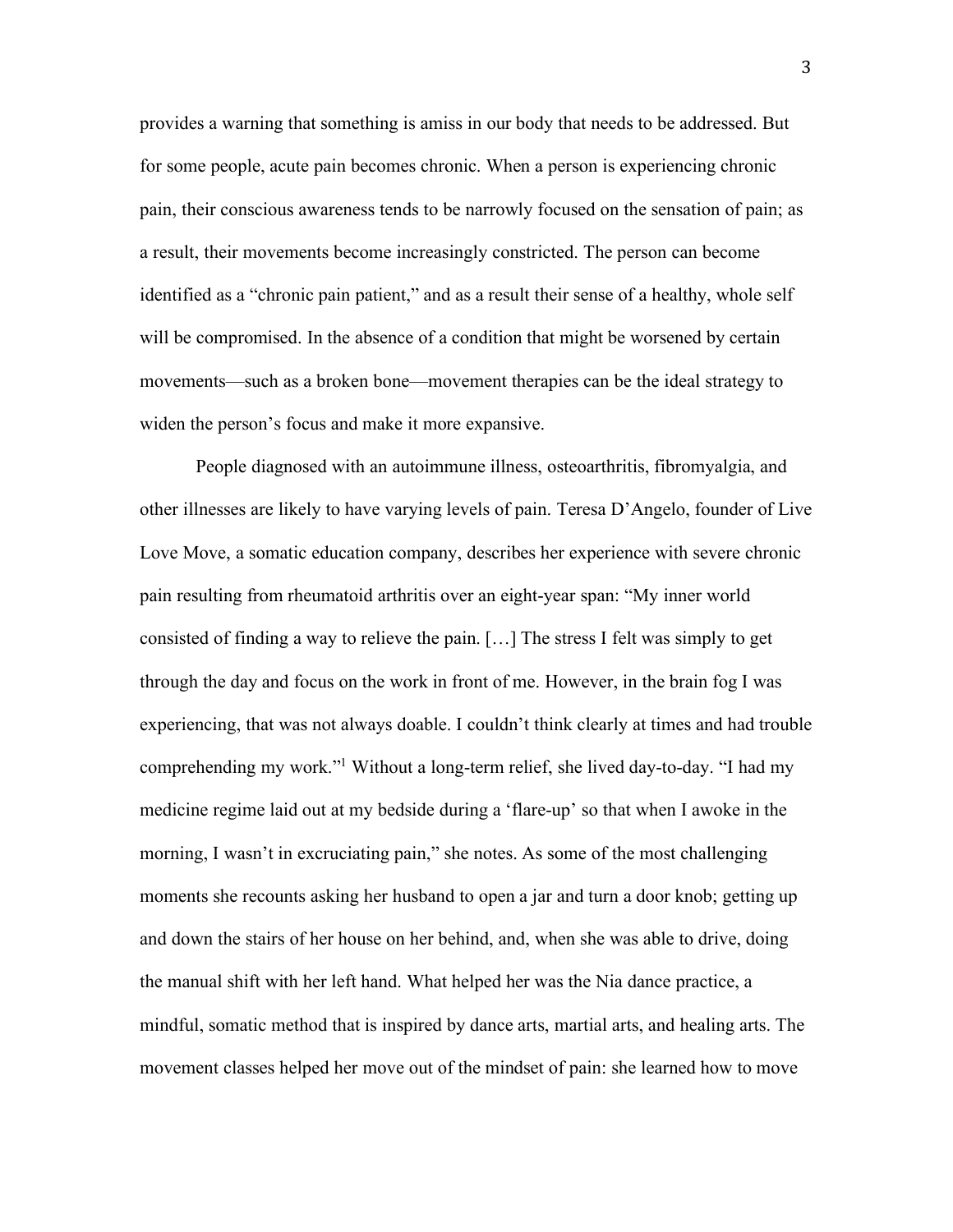provides a warning that something is amiss in our body that needs to be addressed. But for some people, acute pain becomes chronic. When a person is experiencing chronic pain, their conscious awareness tends to be narrowly focused on the sensation of pain; as a result, their movements become increasingly constricted. The person can become identified as a "chronic pain patient," and as a result their sense of a healthy, whole self will be compromised. In the absence of a condition that might be worsened by certain movements—such as a broken bone—movement therapies can be the ideal strategy to widen the person's focus and make it more expansive.

People diagnosed with an autoimmune illness, osteoarthritis, fibromyalgia, and other illnesses are likely to have varying levels of pain. Teresa D'Angelo, founder of Live Love Move, a somatic education company, describes her experience with severe chronic pain resulting from rheumatoid arthritis over an eight-year span: "My inner world consisted of finding a way to relieve the pain. […] The stress I felt was simply to get through the day and focus on the work in front of me. However, in the brain fog I was experiencing, that was not always doable. I couldn't think clearly at times and had trouble comprehending my work."1 Without a long-term relief, she lived day-to-day. "I had my medicine regime laid out at my bedside during a 'flare-up' so that when I awoke in the morning, I wasn't in excruciating pain," she notes. As some of the most challenging moments she recounts asking her husband to open a jar and turn a door knob; getting up and down the stairs of her house on her behind, and, when she was able to drive, doing the manual shift with her left hand. What helped her was the Nia dance practice, a mindful, somatic method that is inspired by dance arts, martial arts, and healing arts. The movement classes helped her move out of the mindset of pain: she learned how to move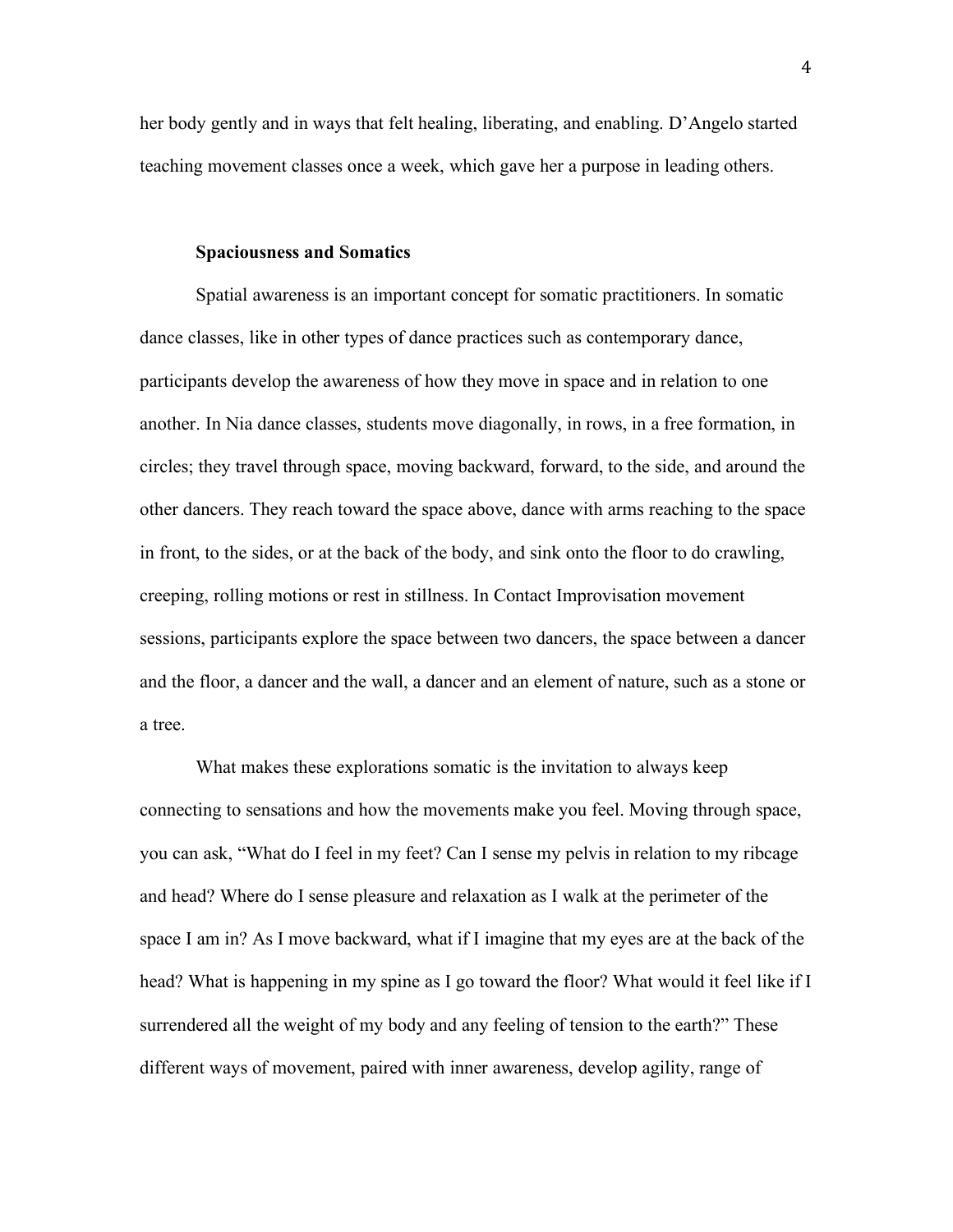her body gently and in ways that felt healing, liberating, and enabling. D'Angelo started teaching movement classes once a week, which gave her a purpose in leading others.

## **Spaciousness and Somatics**

Spatial awareness is an important concept for somatic practitioners. In somatic dance classes, like in other types of dance practices such as contemporary dance, participants develop the awareness of how they move in space and in relation to one another. In Nia dance classes, students move diagonally, in rows, in a free formation, in circles; they travel through space, moving backward, forward, to the side, and around the other dancers. They reach toward the space above, dance with arms reaching to the space in front, to the sides, or at the back of the body, and sink onto the floor to do crawling, creeping, rolling motions or rest in stillness. In Contact Improvisation movement sessions, participants explore the space between two dancers, the space between a dancer and the floor, a dancer and the wall, a dancer and an element of nature, such as a stone or a tree.

What makes these explorations somatic is the invitation to always keep connecting to sensations and how the movements make you feel. Moving through space, you can ask, "What do I feel in my feet? Can I sense my pelvis in relation to my ribcage and head? Where do I sense pleasure and relaxation as I walk at the perimeter of the space I am in? As I move backward, what if I imagine that my eyes are at the back of the head? What is happening in my spine as I go toward the floor? What would it feel like if I surrendered all the weight of my body and any feeling of tension to the earth?" These different ways of movement, paired with inner awareness, develop agility, range of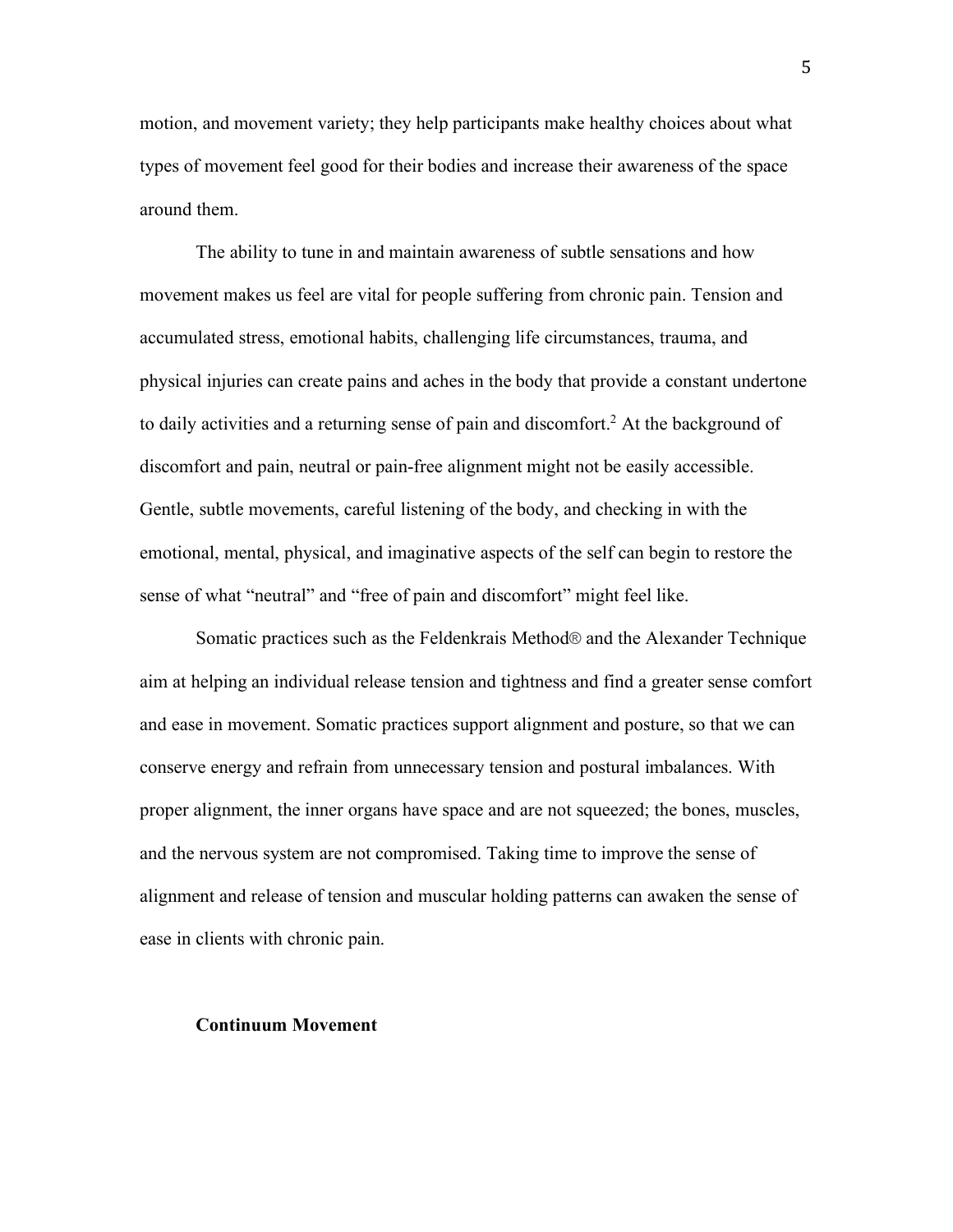motion, and movement variety; they help participants make healthy choices about what types of movement feel good for their bodies and increase their awareness of the space around them.

The ability to tune in and maintain awareness of subtle sensations and how movement makes us feel are vital for people suffering from chronic pain. Tension and accumulated stress, emotional habits, challenging life circumstances, trauma, and physical injuries can create pains and aches in the body that provide a constant undertone to daily activities and a returning sense of pain and discomfort.<sup>2</sup> At the background of discomfort and pain, neutral or pain-free alignment might not be easily accessible. Gentle, subtle movements, careful listening of the body, and checking in with the emotional, mental, physical, and imaginative aspects of the self can begin to restore the sense of what "neutral" and "free of pain and discomfort" might feel like.

Somatic practices such as the Feldenkrais Method® and the Alexander Technique aim at helping an individual release tension and tightness and find a greater sense comfort and ease in movement. Somatic practices support alignment and posture, so that we can conserve energy and refrain from unnecessary tension and postural imbalances. With proper alignment, the inner organs have space and are not squeezed; the bones, muscles, and the nervous system are not compromised. Taking time to improve the sense of alignment and release of tension and muscular holding patterns can awaken the sense of ease in clients with chronic pain.

### **Continuum Movement**

5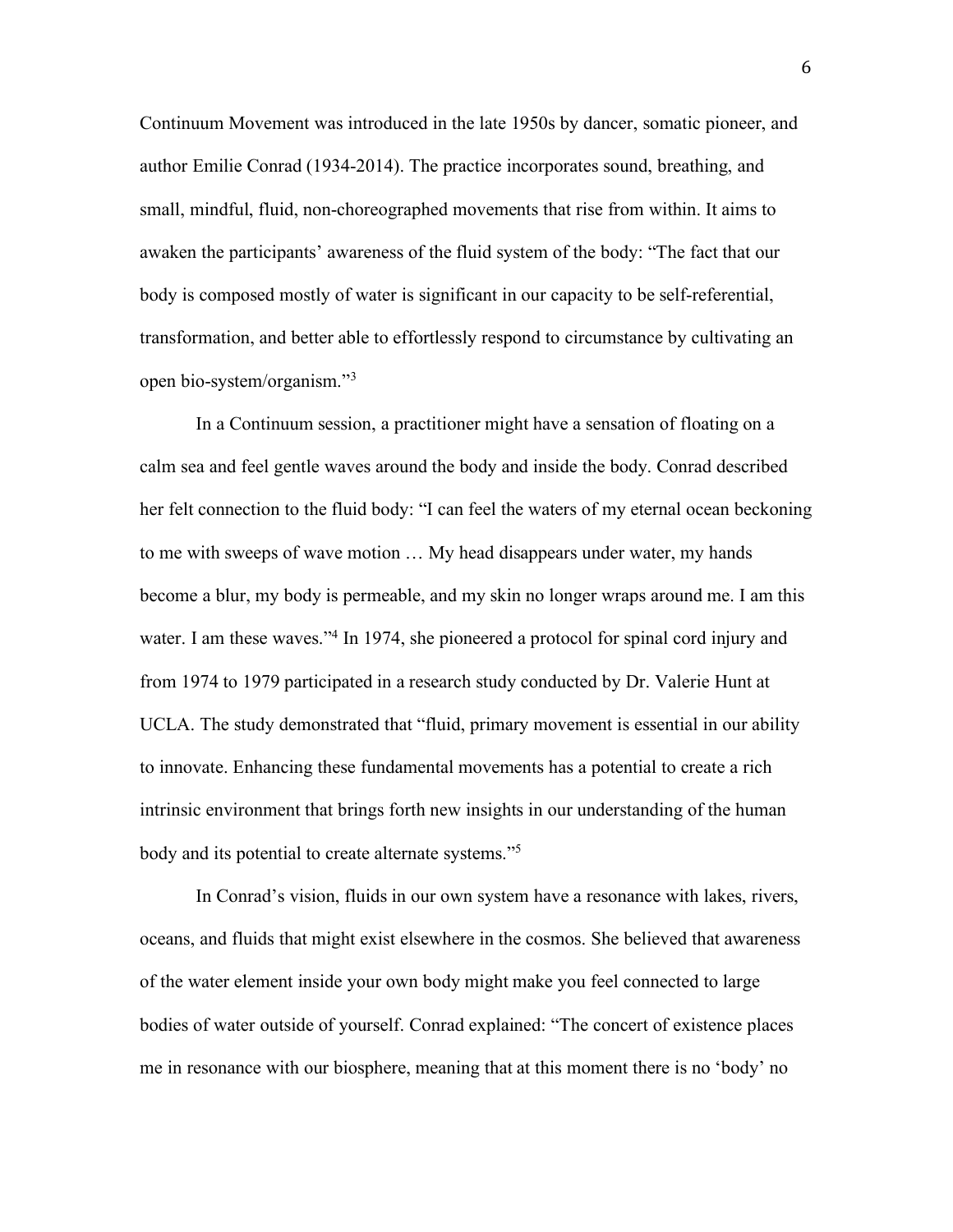Continuum Movement was introduced in the late 1950s by dancer, somatic pioneer, and author Emilie Conrad (1934-2014). The practice incorporates sound, breathing, and small, mindful, fluid, non-choreographed movements that rise from within. It aims to awaken the participants' awareness of the fluid system of the body: "The fact that our body is composed mostly of water is significant in our capacity to be self-referential, transformation, and better able to effortlessly respond to circumstance by cultivating an open bio-system/organism."3

In a Continuum session, a practitioner might have a sensation of floating on a calm sea and feel gentle waves around the body and inside the body. Conrad described her felt connection to the fluid body: "I can feel the waters of my eternal ocean beckoning to me with sweeps of wave motion … My head disappears under water, my hands become a blur, my body is permeable, and my skin no longer wraps around me. I am this water. I am these waves."<sup>4</sup> In 1974, she pioneered a protocol for spinal cord injury and from 1974 to 1979 participated in a research study conducted by Dr. Valerie Hunt at UCLA. The study demonstrated that "fluid, primary movement is essential in our ability to innovate. Enhancing these fundamental movements has a potential to create a rich intrinsic environment that brings forth new insights in our understanding of the human body and its potential to create alternate systems."5

In Conrad's vision, fluids in our own system have a resonance with lakes, rivers, oceans, and fluids that might exist elsewhere in the cosmos. She believed that awareness of the water element inside your own body might make you feel connected to large bodies of water outside of yourself. Conrad explained: "The concert of existence places me in resonance with our biosphere, meaning that at this moment there is no 'body' no

6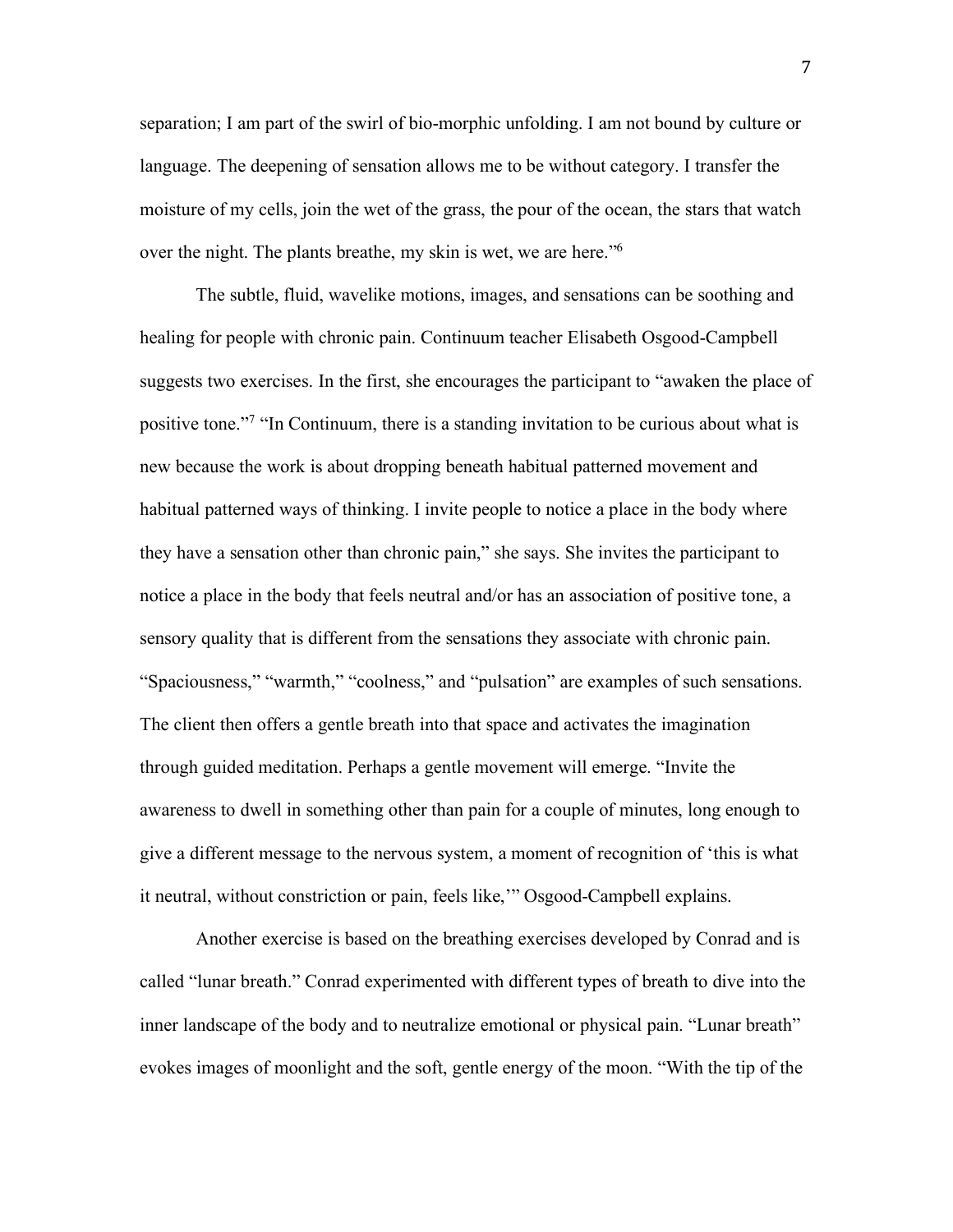separation; I am part of the swirl of bio-morphic unfolding. I am not bound by culture or language. The deepening of sensation allows me to be without category. I transfer the moisture of my cells, join the wet of the grass, the pour of the ocean, the stars that watch over the night. The plants breathe, my skin is wet, we are here."6

The subtle, fluid, wavelike motions, images, and sensations can be soothing and healing for people with chronic pain. Continuum teacher Elisabeth Osgood-Campbell suggests two exercises. In the first, she encourages the participant to "awaken the place of positive tone."7 "In Continuum, there is a standing invitation to be curious about what is new because the work is about dropping beneath habitual patterned movement and habitual patterned ways of thinking. I invite people to notice a place in the body where they have a sensation other than chronic pain," she says. She invites the participant to notice a place in the body that feels neutral and/or has an association of positive tone, a sensory quality that is different from the sensations they associate with chronic pain. "Spaciousness," "warmth," "coolness," and "pulsation" are examples of such sensations. The client then offers a gentle breath into that space and activates the imagination through guided meditation. Perhaps a gentle movement will emerge. "Invite the awareness to dwell in something other than pain for a couple of minutes, long enough to give a different message to the nervous system, a moment of recognition of 'this is what it neutral, without constriction or pain, feels like,'" Osgood-Campbell explains.

Another exercise is based on the breathing exercises developed by Conrad and is called "lunar breath." Conrad experimented with different types of breath to dive into the inner landscape of the body and to neutralize emotional or physical pain. "Lunar breath" evokes images of moonlight and the soft, gentle energy of the moon. "With the tip of the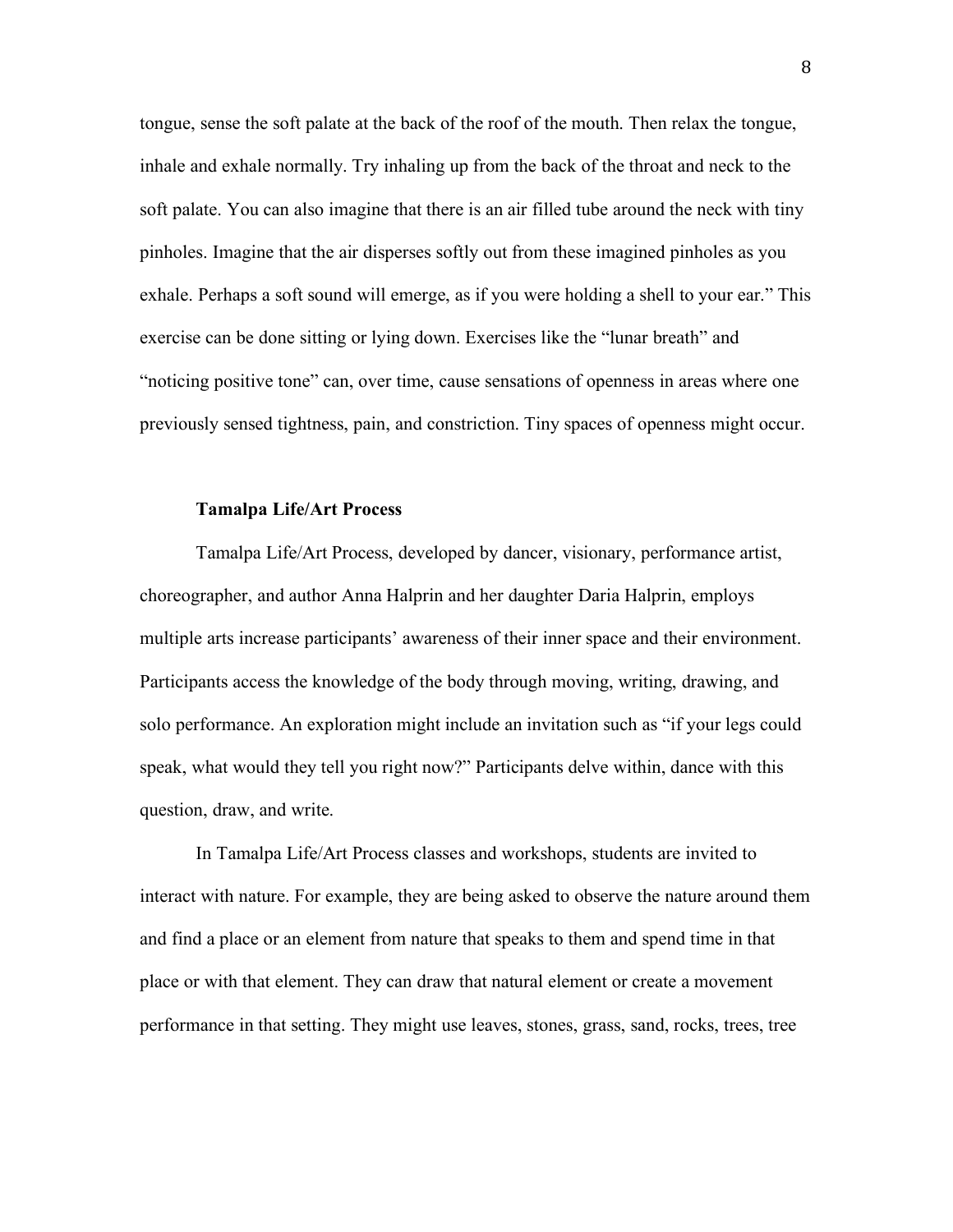tongue, sense the soft palate at the back of the roof of the mouth. Then relax the tongue, inhale and exhale normally. Try inhaling up from the back of the throat and neck to the soft palate. You can also imagine that there is an air filled tube around the neck with tiny pinholes. Imagine that the air disperses softly out from these imagined pinholes as you exhale. Perhaps a soft sound will emerge, as if you were holding a shell to your ear." This exercise can be done sitting or lying down. Exercises like the "lunar breath" and "noticing positive tone" can, over time, cause sensations of openness in areas where one previously sensed tightness, pain, and constriction. Tiny spaces of openness might occur.

#### **Tamalpa Life/Art Process**

Tamalpa Life/Art Process, developed by dancer, visionary, performance artist, choreographer, and author Anna Halprin and her daughter Daria Halprin, employs multiple arts increase participants' awareness of their inner space and their environment. Participants access the knowledge of the body through moving, writing, drawing, and solo performance. An exploration might include an invitation such as "if your legs could speak, what would they tell you right now?" Participants delve within, dance with this question, draw, and write.

In Tamalpa Life/Art Process classes and workshops, students are invited to interact with nature. For example, they are being asked to observe the nature around them and find a place or an element from nature that speaks to them and spend time in that place or with that element. They can draw that natural element or create a movement performance in that setting. They might use leaves, stones, grass, sand, rocks, trees, tree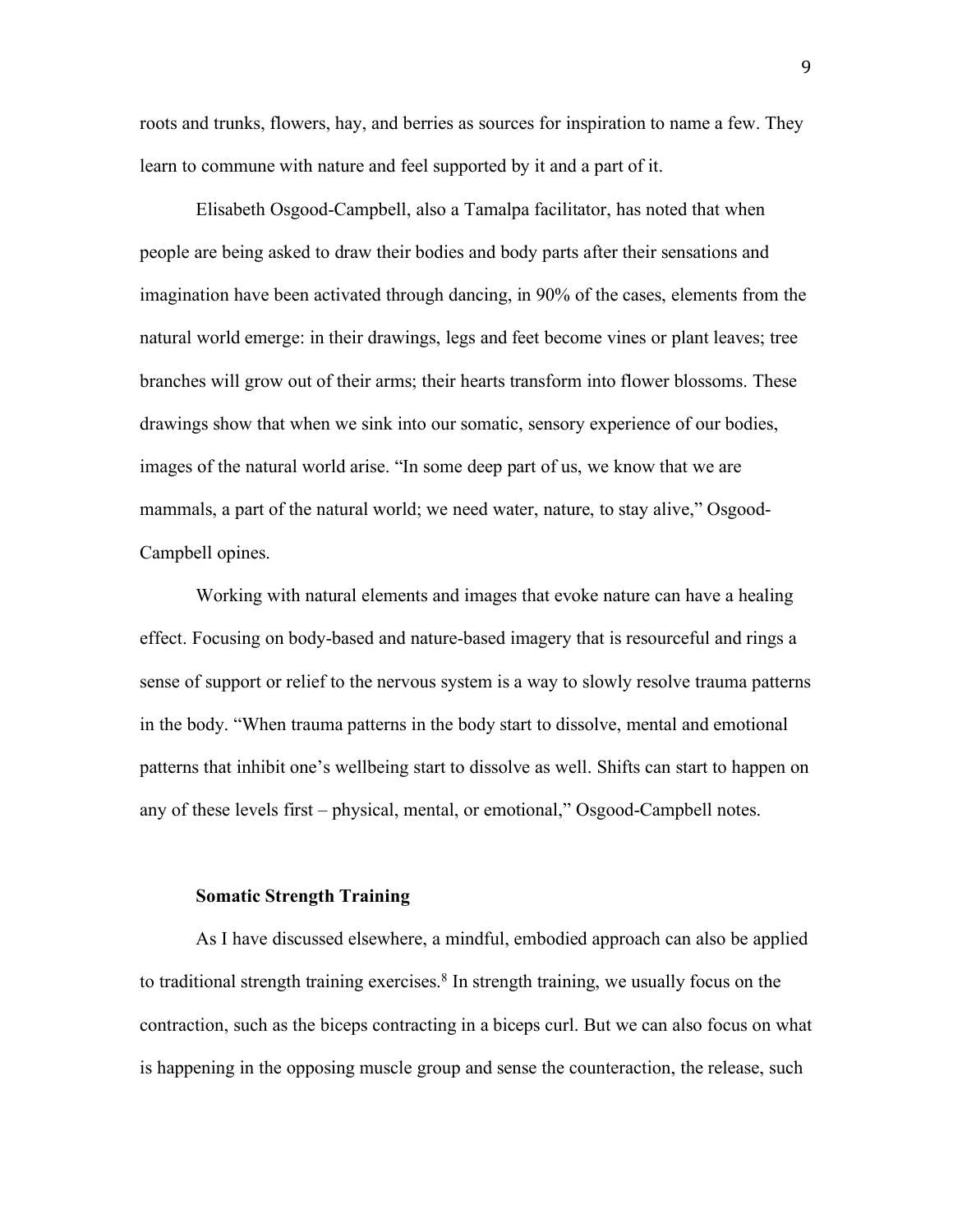roots and trunks, flowers, hay, and berries as sources for inspiration to name a few. They learn to commune with nature and feel supported by it and a part of it.

Elisabeth Osgood-Campbell, also a Tamalpa facilitator, has noted that when people are being asked to draw their bodies and body parts after their sensations and imagination have been activated through dancing, in 90% of the cases, elements from the natural world emerge: in their drawings, legs and feet become vines or plant leaves; tree branches will grow out of their arms; their hearts transform into flower blossoms. These drawings show that when we sink into our somatic, sensory experience of our bodies, images of the natural world arise. "In some deep part of us, we know that we are mammals, a part of the natural world; we need water, nature, to stay alive," Osgood-Campbell opines.

Working with natural elements and images that evoke nature can have a healing effect. Focusing on body-based and nature-based imagery that is resourceful and rings a sense of support or relief to the nervous system is a way to slowly resolve trauma patterns in the body. "When trauma patterns in the body start to dissolve, mental and emotional patterns that inhibit one's wellbeing start to dissolve as well. Shifts can start to happen on any of these levels first – physical, mental, or emotional," Osgood-Campbell notes.

#### **Somatic Strength Training**

As I have discussed elsewhere, a mindful, embodied approach can also be applied to traditional strength training exercises.<sup>8</sup> In strength training, we usually focus on the contraction, such as the biceps contracting in a biceps curl. But we can also focus on what is happening in the opposing muscle group and sense the counteraction, the release, such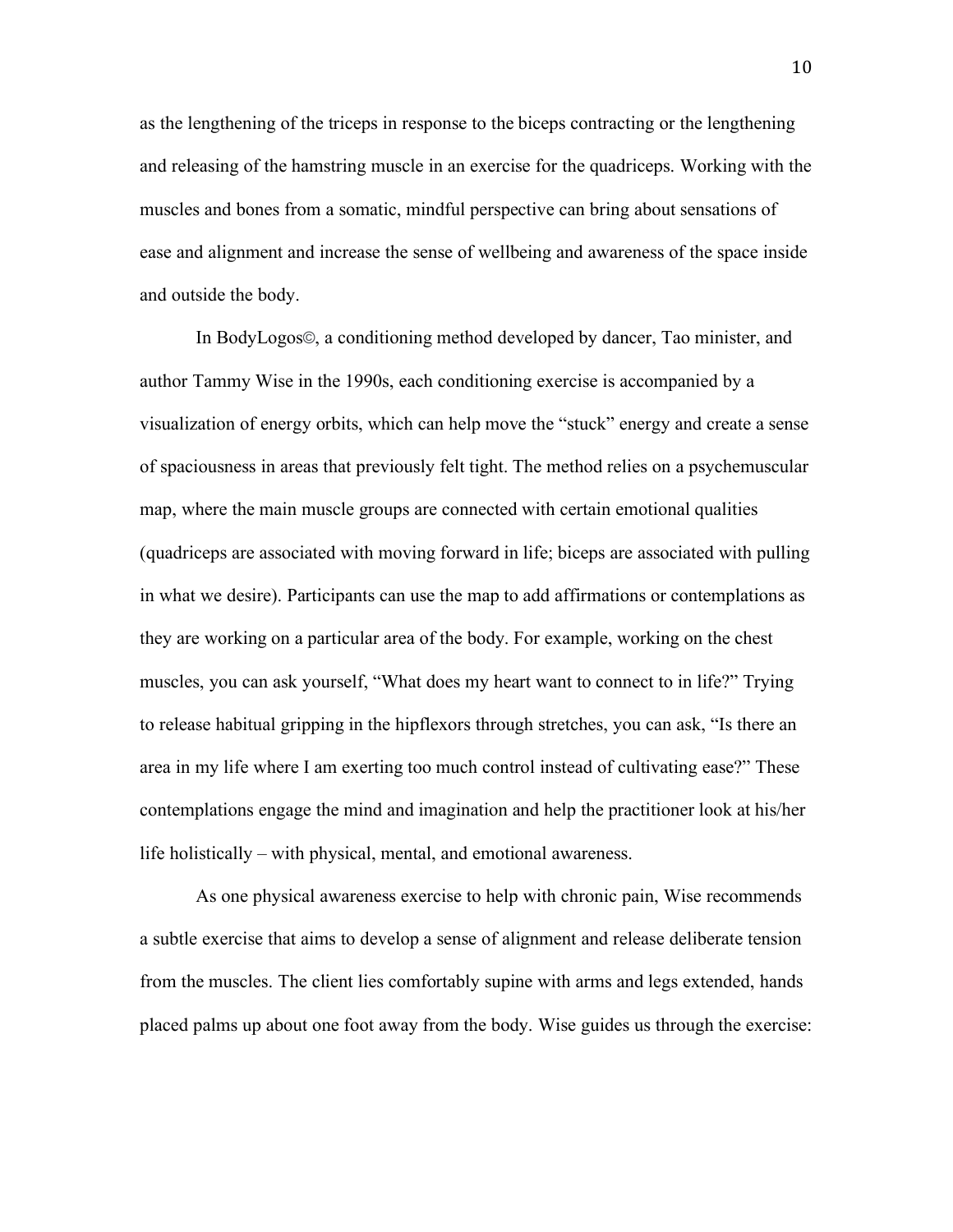as the lengthening of the triceps in response to the biceps contracting or the lengthening and releasing of the hamstring muscle in an exercise for the quadriceps. Working with the muscles and bones from a somatic, mindful perspective can bring about sensations of ease and alignment and increase the sense of wellbeing and awareness of the space inside and outside the body.

In BodyLogos©, a conditioning method developed by dancer, Tao minister, and author Tammy Wise in the 1990s, each conditioning exercise is accompanied by a visualization of energy orbits, which can help move the "stuck" energy and create a sense of spaciousness in areas that previously felt tight. The method relies on a psychemuscular map, where the main muscle groups are connected with certain emotional qualities (quadriceps are associated with moving forward in life; biceps are associated with pulling in what we desire). Participants can use the map to add affirmations or contemplations as they are working on a particular area of the body. For example, working on the chest muscles, you can ask yourself, "What does my heart want to connect to in life?" Trying to release habitual gripping in the hipflexors through stretches, you can ask, "Is there an area in my life where I am exerting too much control instead of cultivating ease?" These contemplations engage the mind and imagination and help the practitioner look at his/her life holistically – with physical, mental, and emotional awareness.

As one physical awareness exercise to help with chronic pain, Wise recommends a subtle exercise that aims to develop a sense of alignment and release deliberate tension from the muscles. The client lies comfortably supine with arms and legs extended, hands placed palms up about one foot away from the body. Wise guides us through the exercise: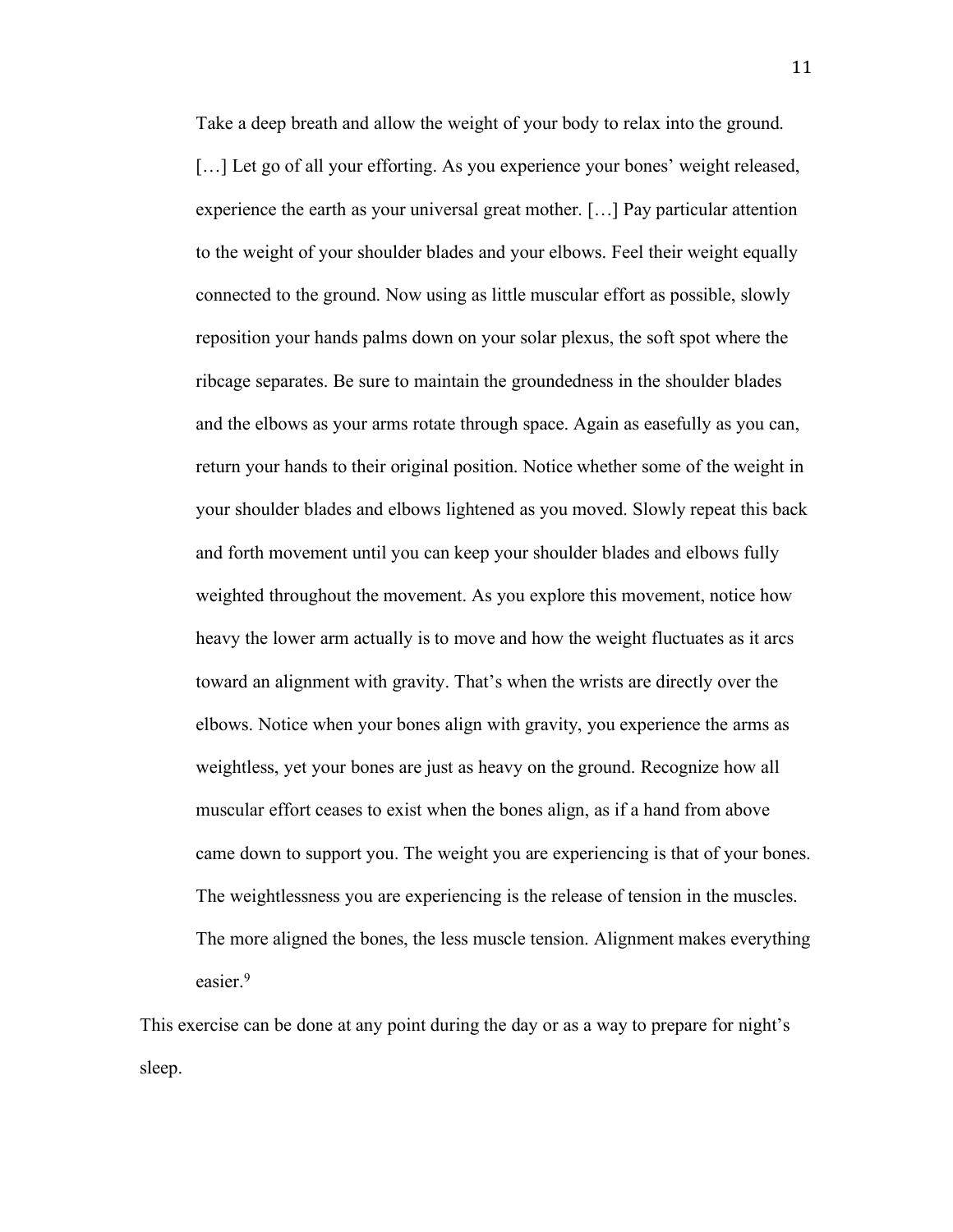Take a deep breath and allow the weight of your body to relax into the ground. [...] Let go of all your efforting. As you experience your bones' weight released, experience the earth as your universal great mother. […] Pay particular attention to the weight of your shoulder blades and your elbows. Feel their weight equally connected to the ground. Now using as little muscular effort as possible, slowly reposition your hands palms down on your solar plexus, the soft spot where the ribcage separates. Be sure to maintain the groundedness in the shoulder blades and the elbows as your arms rotate through space. Again as easefully as you can, return your hands to their original position. Notice whether some of the weight in your shoulder blades and elbows lightened as you moved. Slowly repeat this back and forth movement until you can keep your shoulder blades and elbows fully weighted throughout the movement. As you explore this movement, notice how heavy the lower arm actually is to move and how the weight fluctuates as it arcs toward an alignment with gravity. That's when the wrists are directly over the elbows. Notice when your bones align with gravity, you experience the arms as weightless, yet your bones are just as heavy on the ground. Recognize how all muscular effort ceases to exist when the bones align, as if a hand from above came down to support you. The weight you are experiencing is that of your bones. The weightlessness you are experiencing is the release of tension in the muscles. The more aligned the bones, the less muscle tension. Alignment makes everything easier<sup>9</sup>

This exercise can be done at any point during the day or as a way to prepare for night's sleep.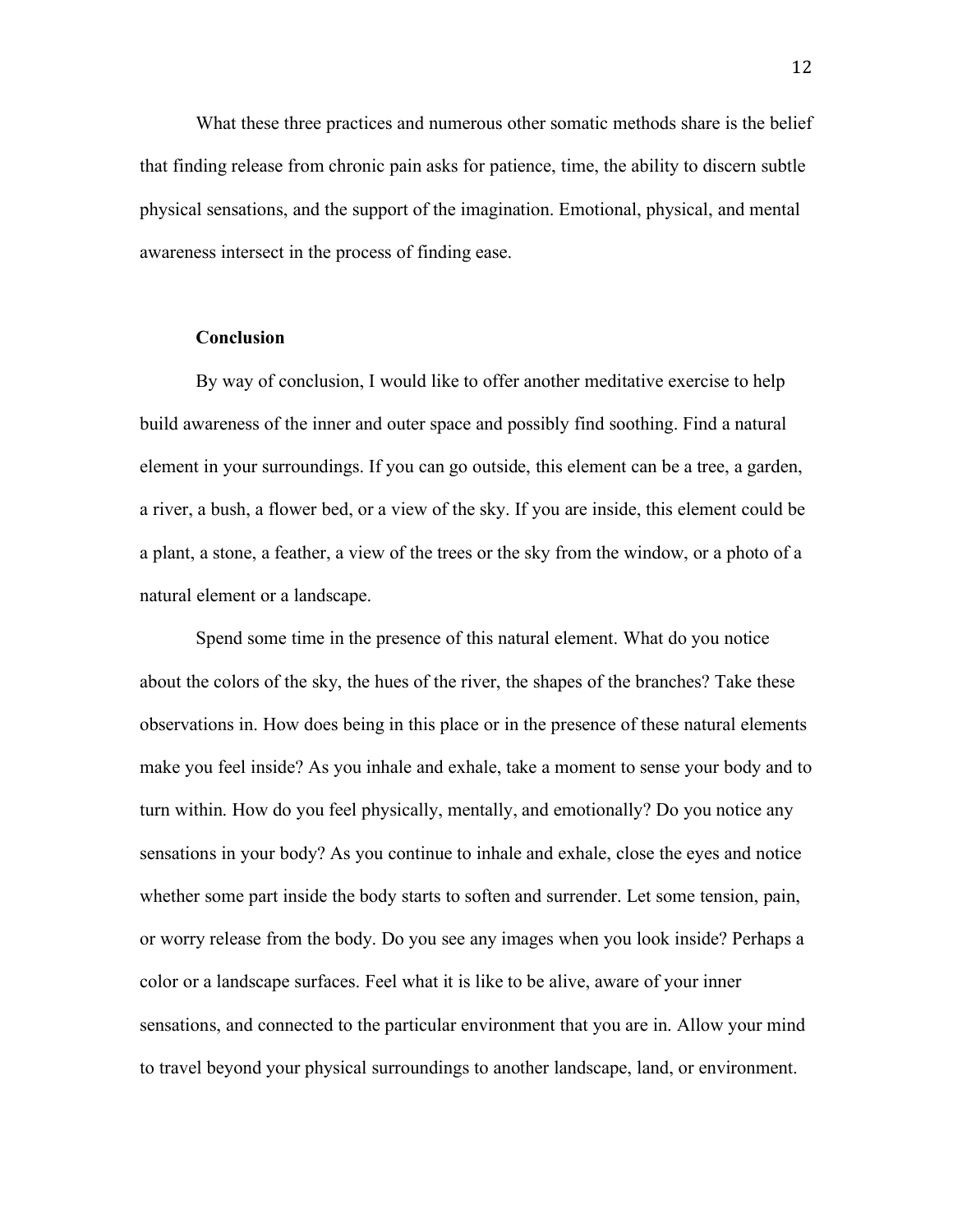What these three practices and numerous other somatic methods share is the belief that finding release from chronic pain asks for patience, time, the ability to discern subtle physical sensations, and the support of the imagination. Emotional, physical, and mental awareness intersect in the process of finding ease.

# **Conclusion**

By way of conclusion, I would like to offer another meditative exercise to help build awareness of the inner and outer space and possibly find soothing. Find a natural element in your surroundings. If you can go outside, this element can be a tree, a garden, a river, a bush, a flower bed, or a view of the sky. If you are inside, this element could be a plant, a stone, a feather, a view of the trees or the sky from the window, or a photo of a natural element or a landscape.

Spend some time in the presence of this natural element. What do you notice about the colors of the sky, the hues of the river, the shapes of the branches? Take these observations in. How does being in this place or in the presence of these natural elements make you feel inside? As you inhale and exhale, take a moment to sense your body and to turn within. How do you feel physically, mentally, and emotionally? Do you notice any sensations in your body? As you continue to inhale and exhale, close the eyes and notice whether some part inside the body starts to soften and surrender. Let some tension, pain, or worry release from the body. Do you see any images when you look inside? Perhaps a color or a landscape surfaces. Feel what it is like to be alive, aware of your inner sensations, and connected to the particular environment that you are in. Allow your mind to travel beyond your physical surroundings to another landscape, land, or environment.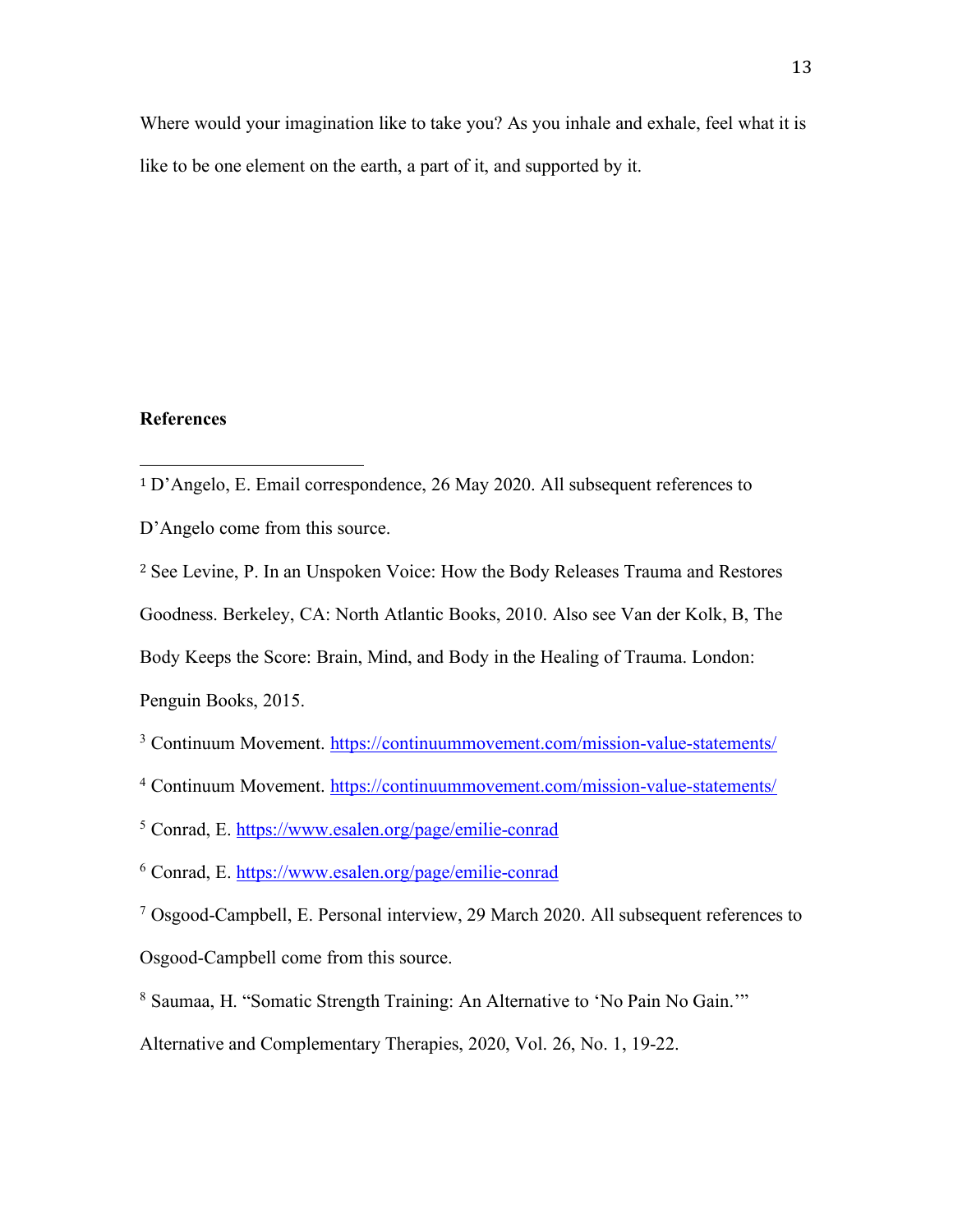Where would your imagination like to take you? As you inhale and exhale, feel what it is like to be one element on the earth, a part of it, and supported by it.

# **References**

 

<sup>1</sup> D'Angelo, E. Email correspondence, 26 May 2020. All subsequent references to D'Angelo come from this source.

<sup>2</sup> See Levine, P. In an Unspoken Voice: How the Body Releases Trauma and Restores Goodness. Berkeley, CA: North Atlantic Books, 2010. Also see Van der Kolk, B, The Body Keeps the Score: Brain, Mind, and Body in the Healing of Trauma. London: Penguin Books, 2015.

- <sup>3</sup> Continuum Movement. https://continuummovement.com/mission-value-statements/
- <sup>4</sup> Continuum Movement. https://continuummovement.com/mission-value-statements/

<sup>5</sup> Conrad, E. https://www.esalen.org/page/emilie-conrad

<sup>6</sup> Conrad, E. https://www.esalen.org/page/emilie-conrad

<sup>7</sup> Osgood-Campbell, E. Personal interview, 29 March 2020. All subsequent references to Osgood-Campbell come from this source.

<sup>8</sup> Saumaa, H. "Somatic Strength Training: An Alternative to 'No Pain No Gain.'"

Alternative and Complementary Therapies, 2020, Vol. 26, No. 1, 19-22.